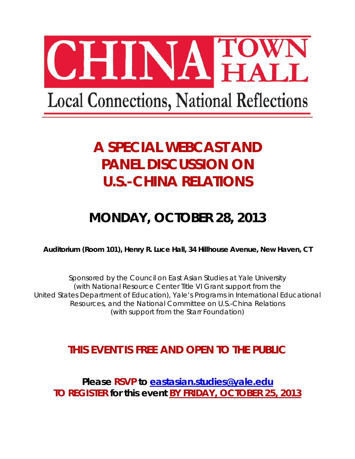

# **A SPECIAL WEBCAST AND PANEL DISCUSSION ON U.S.-CHINA RELATIONS**

# **MONDAY, OCTOBER 28, 2013**

**Auditorium (Room 101), Henry R. Luce Hall, 34 Hillhouse Avenue, New Haven, CT**

*Sponsored by the Council on East Asian Studies at Yale University (with National Resource Center Title VI Grant support from the United States Department of Education), Yale's Programs in International Educational Resources, and the National Committee on U.S.-China Relations (with support from the Starr Foundation)*

# **THIS EVENT IS FREE AND OPEN TO THE PUBLIC**

**Please RSVP to [eastasian.studies@yale.edu](mailto:eastasian.studies@yale.edu) TO REGISTER for this event BY FRIDAY, OCTOBER 25, 2013**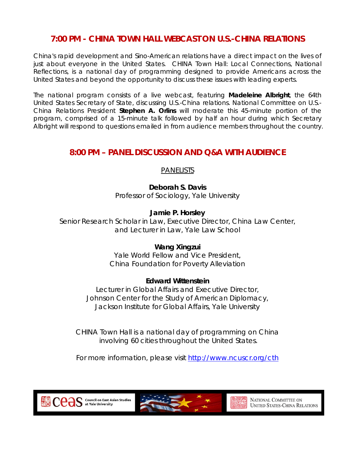## **7:00 PM - CHINA TOWN HALL WEBCAST ON U.S.-CHINA RELATIONS**

China's rapid development and Sino-American relations have a direct impact on the lives of just about everyone in the United States. CHINA Town Hall: Local Connections, National Reflections, is a national day of programming designed to provide Americans across the United States and beyond the opportunity to discuss these issues with leading experts.

The national program consists of a live webcast, featuring **Madeleine Albright**, the 64th United States Secretary of State, discussing U.S.-China relations. National Committee on U.S.- China Relations President **Stephen A. Orlins** will moderate this 45-minute portion of the program, comprised of a 15-minute talk followed by half an hour during which Secretary Albright will respond to questions emailed in from audience members throughout the country.

### **8:00 PM – PANEL DISCUSSION AND Q&A WITH AUDIENCE**

### PANELISTS

**Deborah S. Davis** Professor of Sociology, Yale University

**Jamie P. Horsley**

Senior Research Scholar in Law, Executive Director, China Law Center, and Lecturer in Law, Yale Law School

#### **Wang Xingzui**

Yale World Fellow and Vice President, China Foundation for Poverty Alleviation

#### **Edward Wittenstein**

Lecturer in Global Affairs and Executive Director, Johnson Center for the Study of American Diplomacy, Jackson Institute for Global Affairs, Yale University

*CHINA Town Hall is a national day of programming on China involving 60 cities throughout the United States.*

*For more information, please visit<http://www.ncuscr.org/cth>*

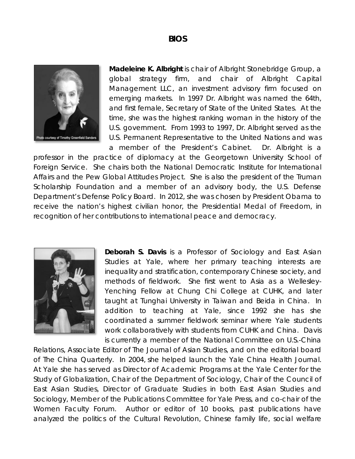#### **BIOS**



**Madeleine K. Albright** is chair of Albright Stonebridge Group, a global strategy firm, and chair of Albright Capital Management LLC, an investment advisory firm focused on emerging markets. In 1997 Dr. Albright was named the 64th, and first female, Secretary of State of the United States. At the time, she was the highest ranking woman in the history of the U.S. government. From 1993 to 1997, Dr. Albright served as the U.S. Permanent Representative to the United Nations and was a member of the President's Cabinet. Dr. Albright is a

professor in the practice of diplomacy at the Georgetown University School of Foreign Service. She chairs both the National Democratic Institute for International Affairs and the Pew Global Attitudes Project. She is also the president of the Truman Scholarship Foundation and a member of an advisory body, the U.S. Defense Department's Defense Policy Board. In 2012, she was chosen by President Obama to receive the nation's highest civilian honor, the Presidential Medal of Freedom, in recognition of her contributions to international peace and democracy.



**Deborah S. Davis** is a Professor of Sociology and East Asian Studies at Yale, where her primary teaching interests are inequality and stratification, contemporary Chinese society, and methods of fieldwork. She first went to Asia as a Wellesley-Yenching Fellow at Chung Chi College at CUHK, and later taught at Tunghai University in Taiwan and Beida in China. In addition to teaching at Yale, since 1992 she has she coordinated a summer fieldwork seminar where Yale students work collaboratively with students from CUHK and China. Davis is currently a member of the National Committee on U.S.-China

Relations, Associate Editor of *The Journal of Asian Studies,* and on the editorial board of *The China Quarterly*. In 2004, she helped launch the *Yale China Health Journal.* At Yale she has served as Director of Academic Programs at the Yale Center for the Study of Globalization, Chair of the Department of Sociology, Chair of the Council of East Asian Studies, Director of Graduate Studies in both East Asian Studies and Sociology, Member of the Publications Committee for Yale Press, and co-chair of the Women Faculty Forum. Author or editor of 10 books, past publications have analyzed the politics of the Cultural Revolution, Chinese family life, social welfare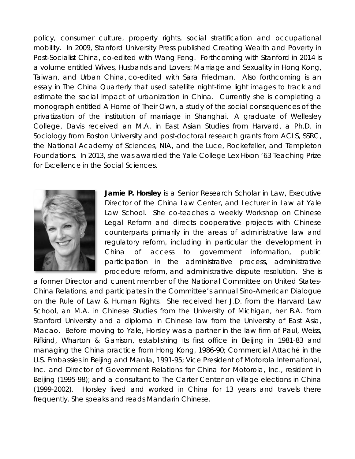policy, consumer culture, property rights, social stratification and occupational mobility. In 2009, Stanford University Press published *Creating Wealth and Poverty in Post-Socialist China*, co-edited with Wang Feng. Forthcoming with Stanford in 2014 is a volume entitled *Wives, Husbands and Lovers*: *Marriage and Sexuality in Hong Kong, Taiwan, and Urban China*, co-edited with Sara Friedman. Also forthcoming is an essay in *The China Quarterly* that used satellite night-time light images to track and estimate the social impact of urbanization in China. Currently she is completing a monograph entitled *A Home of Their Own*, a study of the social consequences of the privatization of the institution of marriage in Shanghai. A graduate of Wellesley College, Davis received an M.A. in East Asian Studies from Harvard, a Ph.D. in Sociology from Boston University and post-doctoral research grants from ACLS, SSRC, the National Academy of Sciences, NIA, and the Luce, Rockefeller, and Templeton Foundations. In 2013, she was awarded the Yale College Lex Hixon '63 Teaching Prize for Excellence in the Social Sciences.



**Jamie P. Horsley** is a Senior Research Scholar in Law, Executive Director of the China Law Center, and Lecturer in Law at Yale Law School. She co-teaches a weekly *Workshop on Chinese Legal Reform* and directs cooperative projects with Chinese counterparts primarily in the areas of administrative law and regulatory reform, including in particular the development in China of access to government information, public participation in the administrative process, administrative procedure reform, and administrative dispute resolution. She is

a former Director and current member of the National Committee on United States-China Relations, and participates in the Committee's annual Sino-American Dialogue on the Rule of Law & Human Rights. She received her J.D. from the Harvard Law School, an M.A. in Chinese Studies from the University of Michigan, her B.A. from Stanford University and a diploma in Chinese law from the University of East Asia, Macao. Before moving to Yale, Horsley was a partner in the law firm of Paul, Weiss, Rifkind, Wharton & Garrison, establishing its first office in Beijing in 1981-83 and managing the China practice from Hong Kong, 1986-90; Commercial Attaché in the U.S. Embassies in Beijing and Manila, 1991-95; Vice President of Motorola International, Inc. and Director of Government Relations for China for Motorola, Inc., resident in Beijing (1995-98); and a consultant to The Carter Center on village elections in China (1999-2002). Horsley lived and worked in China for 13 years and travels there frequently. She speaks and reads Mandarin Chinese.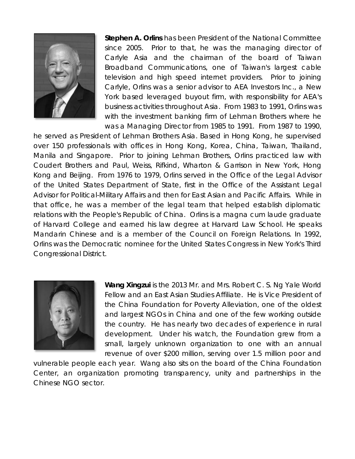

**Stephen A. Orlins** has been President of the National Committee since 2005. Prior to that, he was the managing director of Carlyle Asia and the chairman of the board of Taiwan Broadband Communications, one of Taiwan's largest cable television and high speed internet providers. Prior to joining Carlyle, Orlins was a senior advisor to AEA Investors Inc., a New York based leveraged buyout firm, with responsibility for AEA's business activities throughout Asia. From 1983 to 1991, Orlins was with the investment banking firm of Lehman Brothers where he was a Managing Director from 1985 to 1991. From 1987 to 1990,

he served as President of Lehman Brothers Asia. Based in Hong Kong, he supervised over 150 professionals with offices in Hong Kong, Korea, China, Taiwan, Thailand, Manila and Singapore. Prior to joining Lehman Brothers, Orlins practiced law with Coudert Brothers and Paul, Weiss, Rifkind, Wharton & Garrison in New York, Hong Kong and Beijing. From 1976 to 1979, Orlins served in the Office of the Legal Advisor of the United States Department of State, first in the Office of the Assistant Legal Advisor for Political-Military Affairs and then for East Asian and Pacific Affairs. While in that office, he was a member of the legal team that helped establish diplomatic relations with the People's Republic of China. Orlins is a magna cum laude graduate of Harvard College and earned his law degree at Harvard Law School. He speaks Mandarin Chinese and is a member of the Council on Foreign Relations. In 1992, Orlins was the Democratic nominee for the United States Congress in New York's Third Congressional District.



**Wang Xingzui** is the 2013 Mr. and Mrs. Robert C. S. Ng Yale World Fellow and an East Asian Studies Affiliate. He is Vice President of the China Foundation for Poverty Alleviation, one of the oldest and largest NGOs in China and one of the few working outside the country. He has nearly two decades of experience in rural development. Under his watch, the Foundation grew from a small, largely unknown organization to one with an annual revenue of over \$200 million, serving over 1.5 million poor and

vulnerable people each year. Wang also sits on the board of the China Foundation Center, an organization promoting transparency, unity and partnerships in the Chinese NGO sector.